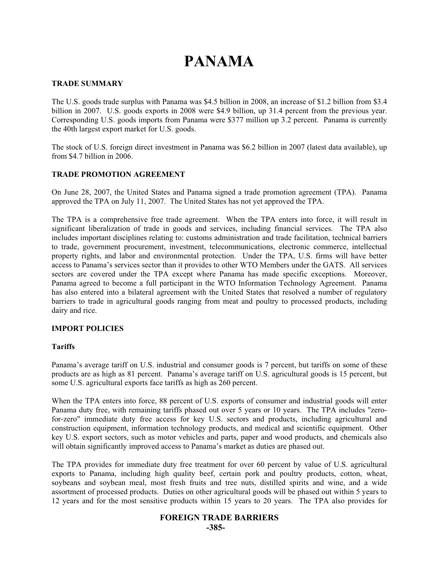# **PANAMA**

#### **TRADE SUMMARY**

The U.S. goods trade surplus with Panama was \$4.5 billion in 2008, an increase of \$1.2 billion from \$3.4 billion in 2007. U.S. goods exports in 2008 were \$4.9 billion, up 31.4 percent from the previous year. Corresponding U.S. goods imports from Panama were \$377 million up 3.2 percent. Panama is currently the 40th largest export market for U.S. goods.

The stock of U.S. foreign direct investment in Panama was \$6.2 billion in 2007 (latest data available), up from \$4.7 billion in 2006.

#### **TRADE PROMOTION AGREEMENT**

On June 28, 2007, the United States and Panama signed a trade promotion agreement (TPA). Panama approved the TPA on July 11, 2007. The United States has not yet approved the TPA.

The TPA is a comprehensive free trade agreement. When the TPA enters into force, it will result in significant liberalization of trade in goods and services, including financial services. The TPA also includes important disciplines relating to: customs administration and trade facilitation, technical barriers to trade, government procurement, investment, telecommunications, electronic commerce, intellectual property rights, and labor and environmental protection. Under the TPA, U.S. firms will have better access to Panama's services sector than it provides to other WTO Members under the GATS. All services sectors are covered under the TPA except where Panama has made specific exceptions. Moreover, Panama agreed to become a full participant in the WTO Information Technology Agreement. Panama has also entered into a bilateral agreement with the United States that resolved a number of regulatory barriers to trade in agricultural goods ranging from meat and poultry to processed products, including dairy and rice.

#### **IMPORT POLICIES**

#### **Tariffs**

Panama's average tariff on U.S. industrial and consumer goods is 7 percent, but tariffs on some of these products are as high as 81 percent. Panama's average tariff on U.S. agricultural goods is 15 percent, but some U.S. agricultural exports face tariffs as high as 260 percent.

When the TPA enters into force, 88 percent of U.S. exports of consumer and industrial goods will enter Panama duty free, with remaining tariffs phased out over 5 years or 10 years. The TPA includes "zerofor-zero" immediate duty free access for key U.S. sectors and products, including agricultural and construction equipment, information technology products, and medical and scientific equipment. Other key U.S. export sectors, such as motor vehicles and parts, paper and wood products, and chemicals also will obtain significantly improved access to Panama's market as duties are phased out.

The TPA provides for immediate duty free treatment for over 60 percent by value of U.S. agricultural exports to Panama, including high quality beef, certain pork and poultry products, cotton, wheat, soybeans and soybean meal, most fresh fruits and tree nuts, distilled spirits and wine, and a wide assortment of processed products. Duties on other agricultural goods will be phased out within 5 years to 12 years and for the most sensitive products within 15 years to 20 years. The TPA also provides for

# **FOREIGN TRADE BARRIERS -385-**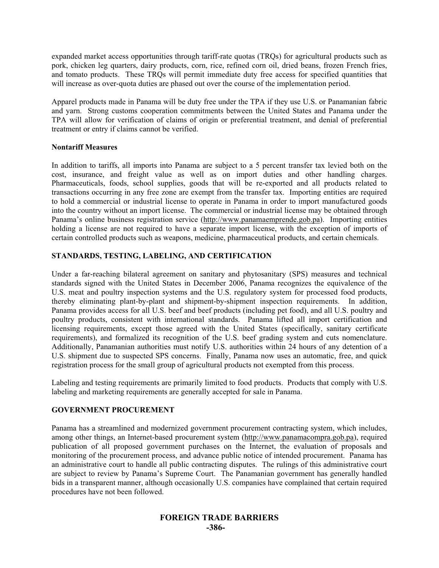expanded market access opportunities through tariff-rate quotas (TRQs) for agricultural products such as pork, chicken leg quarters, dairy products, corn, rice, refined corn oil, dried beans, frozen French fries, and tomato products. These TRQs will permit immediate duty free access for specified quantities that will increase as over-quota duties are phased out over the course of the implementation period.

Apparel products made in Panama will be duty free under the TPA if they use U.S. or Panamanian fabric and yarn. Strong customs cooperation commitments between the United States and Panama under the TPA will allow for verification of claims of origin or preferential treatment, and denial of preferential treatment or entry if claims cannot be verified.

#### **Nontariff Measures**

In addition to tariffs, all imports into Panama are subject to a 5 percent transfer tax levied both on the cost, insurance, and freight value as well as on import duties and other handling charges. Pharmaceuticals, foods, school supplies, goods that will be re-exported and all products related to transactions occurring in any free zone are exempt from the transfer tax. Importing entities are required to hold a commercial or industrial license to operate in Panama in order to import manufactured goods into the country without an import license. The commercial or industrial license may be obtained through Panama's online business registration service (http://www.panamaemprende.gob.pa). Importing entities holding a license are not required to have a separate import license, with the exception of imports of certain controlled products such as weapons, medicine, pharmaceutical products, and certain chemicals.

## **STANDARDS, TESTING, LABELING, AND CERTIFICATION**

Under a far-reaching bilateral agreement on sanitary and phytosanitary (SPS) measures and technical standards signed with the United States in December 2006, Panama recognizes the equivalence of the U.S. meat and poultry inspection systems and the U.S. regulatory system for processed food products, thereby eliminating plant-by-plant and shipment-by-shipment inspection requirements. In addition, Panama provides access for all U.S. beef and beef products (including pet food), and all U.S. poultry and poultry products, consistent with international standards. Panama lifted all import certification and licensing requirements, except those agreed with the United States (specifically, sanitary certificate requirements), and formalized its recognition of the U.S. beef grading system and cuts nomenclature. Additionally, Panamanian authorities must notify U.S. authorities within 24 hours of any detention of a U.S. shipment due to suspected SPS concerns. Finally, Panama now uses an automatic, free, and quick registration process for the small group of agricultural products not exempted from this process.

Labeling and testing requirements are primarily limited to food products. Products that comply with U.S. labeling and marketing requirements are generally accepted for sale in Panama.

## **GOVERNMENT PROCUREMENT**

Panama has a streamlined and modernized government procurement contracting system, which includes, among other things, an Internet-based procurement system (http://www.panamacompra.gob.pa), required publication of all proposed government purchases on the Internet, the evaluation of proposals and monitoring of the procurement process, and advance public notice of intended procurement. Panama has an administrative court to handle all public contracting disputes. The rulings of this administrative court are subject to review by Panama's Supreme Court. The Panamanian government has generally handled bids in a transparent manner, although occasionally U.S. companies have complained that certain required procedures have not been followed.

# **FOREIGN TRADE BARRIERS -386-**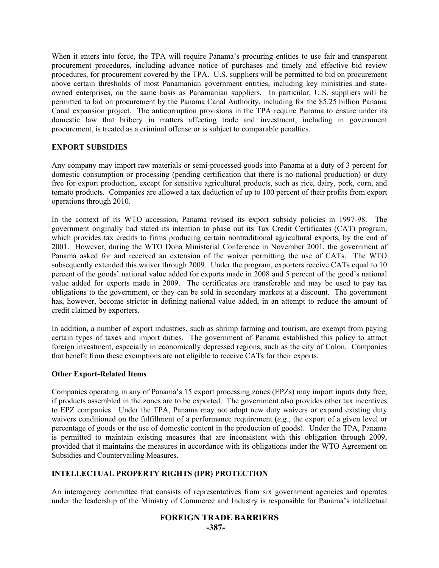When it enters into force, the TPA will require Panama's procuring entities to use fair and transparent procurement procedures, including advance notice of purchases and timely and effective bid review procedures, for procurement covered by the TPA. U.S. suppliers will be permitted to bid on procurement above certain thresholds of most Panamanian government entities, including key ministries and stateowned enterprises, on the same basis as Panamanian suppliers. In particular, U.S. suppliers will be permitted to bid on procurement by the Panama Canal Authority, including for the \$5.25 billion Panama Canal expansion project. The anticorruption provisions in the TPA require Panama to ensure under its domestic law that bribery in matters affecting trade and investment, including in government procurement, is treated as a criminal offense or is subject to comparable penalties.

#### **EXPORT SUBSIDIES**

Any company may import raw materials or semi-processed goods into Panama at a duty of 3 percent for domestic consumption or processing (pending certification that there is no national production) or duty free for export production, except for sensitive agricultural products, such as rice, dairy, pork, corn, and tomato products. Companies are allowed a tax deduction of up to 100 percent of their profits from export operations through 2010.

In the context of its WTO accession, Panama revised its export subsidy policies in 1997-98. The government originally had stated its intention to phase out its Tax Credit Certificates (CAT) program, which provides tax credits to firms producing certain nontraditional agricultural exports, by the end of 2001. However, during the WTO Doha Ministerial Conference in November 2001, the government of Panama asked for and received an extension of the waiver permitting the use of CATs. The WTO subsequently extended this waiver through 2009. Under the program, exporters receive CATs equal to 10 percent of the goods' national value added for exports made in 2008 and 5 percent of the good's national value added for exports made in 2009. The certificates are transferable and may be used to pay tax obligations to the government, or they can be sold in secondary markets at a discount. The government has, however, become stricter in defining national value added, in an attempt to reduce the amount of credit claimed by exporters.

In addition, a number of export industries, such as shrimp farming and tourism, are exempt from paying certain types of taxes and import duties. The government of Panama established this policy to attract foreign investment, especially in economically depressed regions, such as the city of Colon. Companies that benefit from these exemptions are not eligible to receive CATs for their exports.

#### **Other Export-Related Items**

Companies operating in any of Panama's 15 export processing zones (EPZs) may import inputs duty free, if products assembled in the zones are to be exported. The government also provides other tax incentives to EPZ companies. Under the TPA, Panama may not adopt new duty waivers or expand existing duty waivers conditioned on the fulfillment of a performance requirement  $(e.g., the export of a given level or$ waivers conditioned on the fulfillment of a performance requirement (*e.g.*, the export of a given level or percentage of goods or the use of domestic content in the production of goods). Under the TPA, Panama is permitted to maintain existing measures that are inconsistent with this obligation through 2009, provided that it maintains the measures in accordance with its obligations under the WTO Agreement on Subsidies and Countervailing Measures.

## **INTELLECTUAL PROPERTY RIGHTS (IPR) PROTECTION**

An interagency committee that consists of representatives from six government agencies and operates under the leadership of the Ministry of Commerce and Industry is responsible for Panama's intellectual

## **FOREIGN TRADE BARRIERS -387-**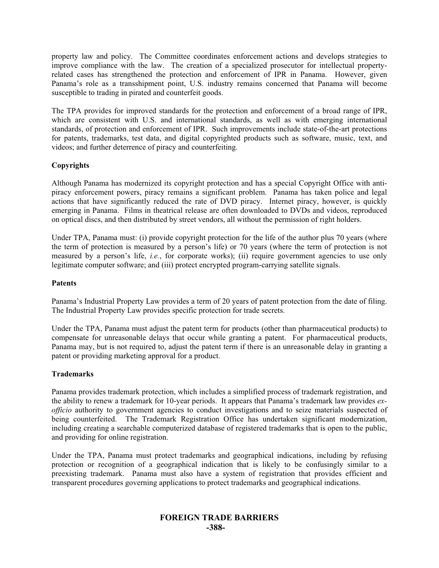property law and policy. The Committee coordinates enforcement actions and develops strategies to improve compliance with the law. The creation of a specialized prosecutor for intellectual propertyrelated cases has strengthened the protection and enforcement of IPR in Panama. However, given Panama's role as a transshipment point, U.S. industry remains concerned that Panama will become susceptible to trading in pirated and counterfeit goods.

The TPA provides for improved standards for the protection and enforcement of a broad range of IPR, which are consistent with U.S. and international standards, as well as with emerging international standards, of protection and enforcement of IPR. Such improvements include state-of-the-art protections for patents, trademarks, test data, and digital copyrighted products such as software, music, text, and videos; and further deterrence of piracy and counterfeiting.

## **Copyrights**

Although Panama has modernized its copyright protection and has a special Copyright Office with antipiracy enforcement powers, piracy remains a significant problem. Panama has taken police and legal actions that have significantly reduced the rate of DVD piracy. Internet piracy, however, is quickly emerging in Panama. Films in theatrical release are often downloaded to DVDs and videos, reproduced on optical discs, and then distributed by street vendors, all without the permission of right holders.

Under TPA, Panama must: (i) provide copyright protection for the life of the author plus 70 years (where the term of protection is measured by a person's life) or 70 years (where the term of protection is not measured by a person's life, *i.e.*, for corporate works); (ii) require government agencies to use only legitimate computer software; and (iii) protect encrypted program-carrying satellite signals.

## **Patents**

Panama's Industrial Property Law provides a term of 20 years of patent protection from the date of filing. The Industrial Property Law provides specific protection for trade secrets.

Under the TPA, Panama must adjust the patent term for products (other than pharmaceutical products) to compensate for unreasonable delays that occur while granting a patent. For pharmaceutical products, Panama may, but is not required to, adjust the patent term if there is an unreasonable delay in granting a patent or providing marketing approval for a product.

## **Trademarks**

Panama provides trademark protection, which includes a simplified process of trademark registration, and the ability to renew a trademark for 10-year periods. It appears that Panama's trademark law provides *exofficio* authority to government agencies to conduct investigations and to seize materials suspected of being counterfeited. The Trademark Registration Office has undertaken significant modernization, including creating a searchable computerized database of registered trademarks that is open to the public, and providing for online registration.

Under the TPA, Panama must protect trademarks and geographical indications, including by refusing protection or recognition of a geographical indication that is likely to be confusingly similar to a preexisting trademark. Panama must also have a system of registration that provides efficient and transparent procedures governing applications to protect trademarks and geographical indications.

## **FOREIGN TRADE BARRIERS -388-**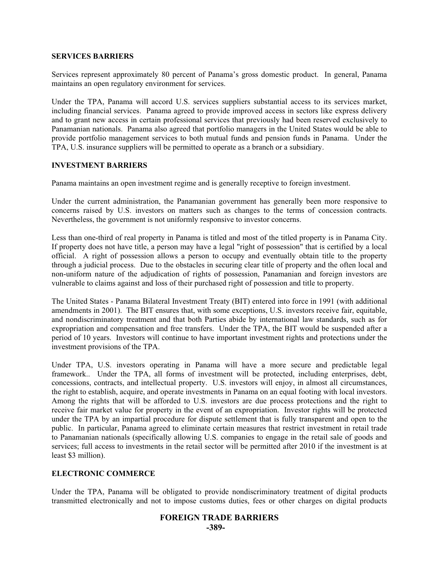#### **SERVICES BARRIERS**

Services represent approximately 80 percent of Panama's gross domestic product. In general, Panama maintains an open regulatory environment for services.

Under the TPA, Panama will accord U.S. services suppliers substantial access to its services market, including financial services. Panama agreed to provide improved access in sectors like express delivery and to grant new access in certain professional services that previously had been reserved exclusively to Panamanian nationals. Panama also agreed that portfolio managers in the United States would be able to provide portfolio management services to both mutual funds and pension funds in Panama. Under the TPA, U.S. insurance suppliers will be permitted to operate as a branch or a subsidiary.

## **INVESTMENT BARRIERS**

Panama maintains an open investment regime and is generally receptive to foreign investment.

Under the current administration, the Panamanian government has generally been more responsive to concerns raised by U.S. investors on matters such as changes to the terms of concession contracts. Nevertheless, the government is not uniformly responsive to investor concerns.

Less than one-third of real property in Panama is titled and most of the titled property is in Panama City. If property does not have title, a person may have a legal "right of possession" that is certified by a local official. A right of possession allows a person to occupy and eventually obtain title to the property through a judicial process. Due to the obstacles in securing clear title of property and the often local and non-uniform nature of the adjudication of rights of possession, Panamanian and foreign investors are vulnerable to claims against and loss of their purchased right of possession and title to property.

The United States - Panama Bilateral Investment Treaty (BIT) entered into force in 1991 (with additional amendments in 2001). The BIT ensures that, with some exceptions, U.S. investors receive fair, equitable, and nondiscriminatory treatment and that both Parties abide by international law standards, such as for expropriation and compensation and free transfers. Under the TPA, the BIT would be suspended after a period of 10 years. Investors will continue to have important investment rights and protections under the investment provisions of the TPA.

Under TPA, U.S. investors operating in Panama will have a more secure and predictable legal framework.. Under the TPA, all forms of investment will be protected, including enterprises, debt, concessions, contracts, and intellectual property. U.S. investors will enjoy, in almost all circumstances, the right to establish, acquire, and operate investments in Panama on an equal footing with local investors. Among the rights that will be afforded to U.S. investors are due process protections and the right to receive fair market value for property in the event of an expropriation. Investor rights will be protected under the TPA by an impartial procedure for dispute settlement that is fully transparent and open to the public. In particular, Panama agreed to eliminate certain measures that restrict investment in retail trade to Panamanian nationals (specifically allowing U.S. companies to engage in the retail sale of goods and services; full access to investments in the retail sector will be permitted after 2010 if the investment is at least \$3 million).

## **ELECTRONIC COMMERCE**

Under the TPA, Panama will be obligated to provide nondiscriminatory treatment of digital products transmitted electronically and not to impose customs duties, fees or other charges on digital products

# **FOREIGN TRADE BARRIERS -389-**